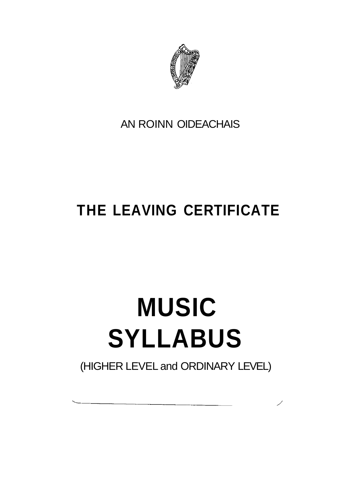

AN ROINN OIDEACHAIS

# **THE LEAVING CERTIFICATE**

# **MUSIC SYLLABUS**

(HIGHER LEVEL and ORDINARY LEVEL)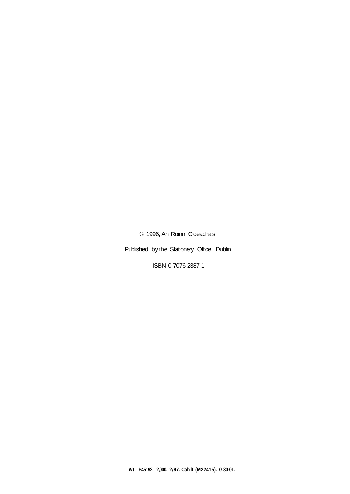© 1996, An Roinn Oideachais

Published by the Stationery Office, Dublin

ISBN 0-7076-2387-1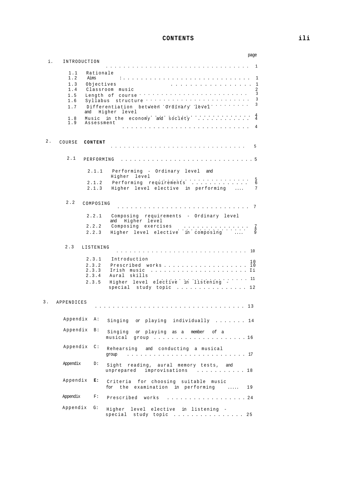# **CONTENTS ili**

|       |              |                | page                                                                                                                                                                                                                                                                             |
|-------|--------------|----------------|----------------------------------------------------------------------------------------------------------------------------------------------------------------------------------------------------------------------------------------------------------------------------------|
| i.    | INTRODUCTION |                |                                                                                                                                                                                                                                                                                  |
|       | 1.1          | Rationale      |                                                                                                                                                                                                                                                                                  |
|       | 1.2          | Aims           | . 1                                                                                                                                                                                                                                                                              |
|       | 1.3          | Objectives     | . 1                                                                                                                                                                                                                                                                              |
|       | 1.4<br>1.5   |                | $\overline{2}$<br>Classroom music<br>$\overline{\mathbf{3}}$<br>a de la caractería de la caractería de la caractería<br>Length of course '                                                                                                                                       |
|       | 1.6          |                | $\overline{\mathbf{3}}$<br>and a construction of the construction of the construction of the construction of the construction of the construction of the construction of the construction of the construction of the construction of the construction of<br>Syllabus structure . |
|       | 1.7          | and            | $\overline{\mathbf{3}}$<br>Differentiation between Ordinary level $\cdots$<br>Higher level                                                                                                                                                                                       |
|       | 1.8<br>1.9   | Assessment     | $rac{4}{4}$<br>Music in the economy and society                                                                                                                                                                                                                                  |
|       |              |                |                                                                                                                                                                                                                                                                                  |
| $2$ . | COURSE       | CONTENT        |                                                                                                                                                                                                                                                                                  |
|       |              |                |                                                                                                                                                                                                                                                                                  |
|       | 2.1          | PERFORMING     |                                                                                                                                                                                                                                                                                  |
|       |              | 2.1.1          | Performing - Ordinary level and<br>Higher level                                                                                                                                                                                                                                  |
|       |              | 2.1.2          | and a series of the company of the<br>$\frac{5}{6}$<br>Performing requirements                                                                                                                                                                                                   |
|       |              | 2.1.3          | 7<br>Higher level elective in performing                                                                                                                                                                                                                                         |
|       | 2.2          | COMPOSING      |                                                                                                                                                                                                                                                                                  |
|       |              |                | . 7                                                                                                                                                                                                                                                                              |
|       |              | 2.2.1          | Composing requirements - Ordinary level<br>and Higher level                                                                                                                                                                                                                      |
|       |              | 2.2.2          | Composing exercises<br>$\begin{bmatrix} 7 \\ 8 \\ 9 \end{bmatrix}$                                                                                                                                                                                                               |
|       |              | 2.2.3          | Higher level elective in composing<br>$\ldots$                                                                                                                                                                                                                                   |
|       | 2.3          | LISTENING      | . 10                                                                                                                                                                                                                                                                             |
|       |              | 2.3.1          | Introduction                                                                                                                                                                                                                                                                     |
|       |              | 2.3.2          | 10<br>Prescribed works<br>i0                                                                                                                                                                                                                                                     |
|       |              | 2.3.3<br>2.3.4 | Aural skills                                                                                                                                                                                                                                                                     |
|       |              | 2.3.5          | . 11<br>Higher level elective in listening<br>special study topic $\ldots \ldots \ldots \ldots \ldots 12$                                                                                                                                                                        |
|       |              |                |                                                                                                                                                                                                                                                                                  |
| 3.    | APPENDICES   |                |                                                                                                                                                                                                                                                                                  |
|       |              |                |                                                                                                                                                                                                                                                                                  |
|       | Appendix A:  |                | Singing or playing individually  14                                                                                                                                                                                                                                              |
|       | Appendix     | B:             | Singing or playing as a member of a<br>musical<br>group $\ldots \ldots \ldots \ldots \ldots \ldots \ldots \ldots 16$                                                                                                                                                             |
|       | Appendix     | $\mathbb{C}$ : | Rehearsing and conducting a musical<br>group                                                                                                                                                                                                                                     |
|       | Appendix     | D:             | Sight reading, aural memory tests, and<br>unprepared<br>improvisations 18                                                                                                                                                                                                        |
|       | Appendix     | Е:             | Criteria for choosing suitable music<br>for the examination in performing<br>19<br>$\cdots$                                                                                                                                                                                      |
|       | Appendix     | F:             | Prescribed<br>works<br>. 24                                                                                                                                                                                                                                                      |
|       | Appendix     | G:             | Higher<br>level elective in listening -<br>special<br>study topic 25                                                                                                                                                                                                             |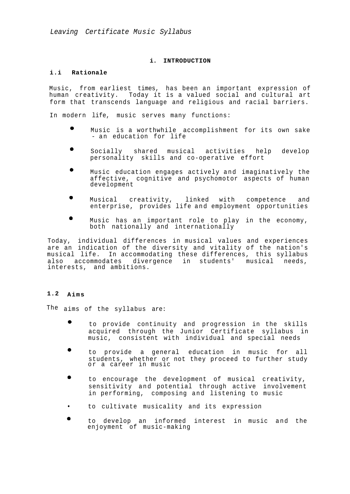*Leaving Certificate Music Syllabus*

# **i. INTRODUCTION**

# **i.i Rationale**

Music, from earliest times, has been an important expression of human creativity. Today it is a valued social and cultural art form that transcends language and religious and racial barriers.

In modern life, music serves many functions:

- Music is a worthwhile accomplishment for its own sake - an education for life
- $\bullet$ Socially shared musical activities help develop personality skills and co-operative effort
- Music education engages actively and imaginatively the affective, cognitive and psychomotor aspects of human development
- $\bullet$ Musical creativity, linked with competence and enterprise, provides life and employment opportunities
- Music has an important role to play in the economy, both nationally and internationally

Today, individual differences in musical values and experiences are an indication of the diversity and vitality of the nation's musical life. In accommodating these differences, this syllabus also accommodates divergence in students' musical needs, interests, and ambitions.

# **1.2 Aims**

The aims of the syllabus are:

- $\bullet$ to provide continuity and progression in the skills acquired through the Junior Certificate syllabus in music, consistent with individual and special needs
- to provide a general education in music for all students, whether or not they proceed to further study or a career in music
- to encourage the development of musical creativity, sensitivity and potential through active involvement in performing, composing and listening to music
- to cultivate musicality and its expression
- to develop an informed interest in music and the enjoyment of music-making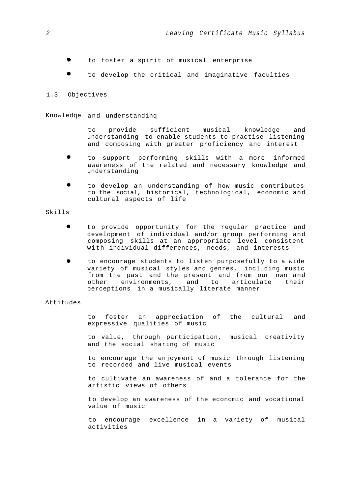- to foster a spirit of musical enterprise
- to develop the critical and imaginative faculties

#### 1.3 Objectives

# Knowledqe and understandinq

to provide sufficient musical knowledge and understanding to enable students to practise listening and composing with greater proficiency and interest

- to support performing skills with a more informed awareness of the related and necessary knowledge and understanding
- $\bullet$ to develop an understanding of how music contributes to the social, historical, technological, economic and cultural aspects of life

#### Skills

- $\bullet$ to provide opportunity for the regular practice and development of individual and/or group performing and composing skills at an appropriate level consistent with individual differences, needs, and interests
- to encourage students to listen purposefully to a wide variety of musical styles and genres, including music from the past and the present and from our own and other environments, and to articulate their perceptions in a musically literate manner

#### Attitudes

to foster an appreciation of the cultural and expressive qualities of music

to value, through participation, musical creativity and the social sharing of music

to encourage the enjoyment of music through listening to recorded and live musical events

to cultivate an awareness of and a tolerance for the artistic views of others

to develop an awareness of the economic and vocational value of music

to encourage excellence in a variety of musical activities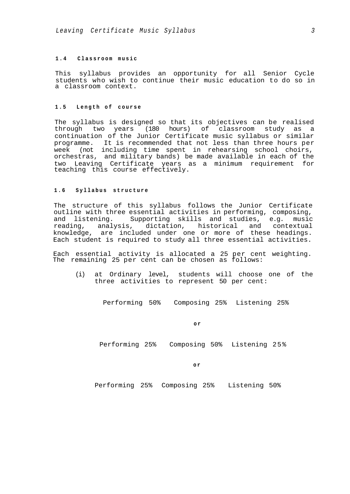# **1.4 Classroom music**

This syllabus provides an opportunity for all Senior Cycle students who wish to continue their music education to do so in a classroom context.

# **1.5 Length o f course**

The syllabus is designed so that its objectives can be realised through two years (180 hours) of classroom study as a continuation of the Junior Certificate music syllabus or similar programme. It is recommended that not less than three hours per week (not including time spent in rehearsing school choirs, orchestras, and military bands) be made available in each of the two Leaving Certificate years as a minimum requirement for teaching this course effectively.

# **1.6 Syllabus structure**

The structure of this syllabus follows the Junior Certificate outline with three essential activities in performing, composing, and listening. Supporting skills and studies, e.g. music reading, analysis, dictation, historical and contextual knowledge, are included under one or more of these headings. Each student is required to study all three essential activities.

Each essential activity is allocated a 25 per cent weighting. The remaining 25 per cent can be chosen as follows:

(i) at Ordinary level, students will choose one of the three activities to represent 50 per cent:

Performing 50% Composing 25% Listening 25%

**o r**

Performing 25% Composing 50% Listening 25%

**o r**

Performing 25% Composing 25% Listening 50%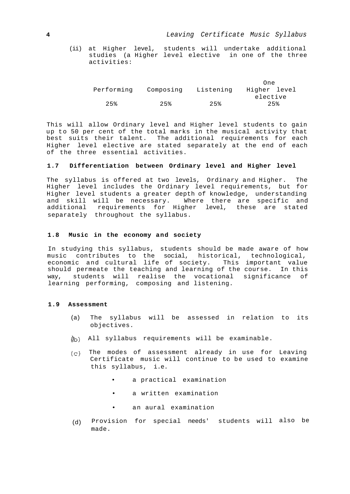(ii) at Higher level, students will undertake additional studies (a Higher level elective in one of the three activities:

|            |           |           | One          |
|------------|-----------|-----------|--------------|
| Performing | Composing | Listening | Higher level |
|            |           |           | elective     |
| 2.5%       | 2.5%      | 2.5%      | 2.5%         |

This will allow Ordinary level and Higher level students to gain up to 50 per cent of the total marks in the musical activity that best suits their talent. The additional requirements for each Higher level elective are stated separately at the end of each of the three essential activities.

# **1.7 Differentiation between Ordinary level and Higher level**

The syllabus is offered at two levels, Ordinary and Higher. The Higher level includes the Ordinary level requirements, but for Higher level students a greater depth of knowledge, understanding and skill will be necessary. Where there are specific and additional requirements for Higher level, these are stated separately throughout the syllabus.

#### **1.8 Music in the economy and society**

In studying this syllabus, students should be made aware of how music contributes to the social, historical, technological, economic and cultural life of society. This important value should permeate the teaching and learning of the course. In this way, students will realise the vocational significance of learning performing, composing and listening.

# **1.9 Assessment**

- (a) The syllabus will be assessed in relation to its objectives.
- ) All syllabus requirements will be examinable.
- $(c)$  The modes of assessment already in use for Leaving Certificate music will continue to be used to examine this syllabus, i.e.
	- a practical examination
	- a written examination
	- an aural examination
- (d) Provision for special needs' students will also bemade.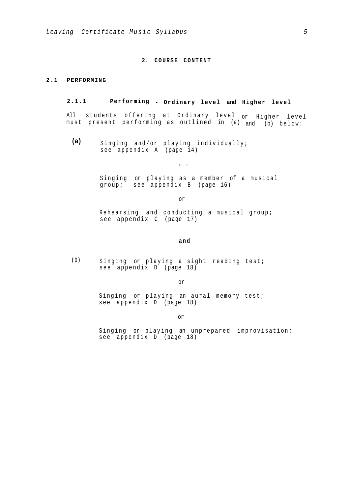# **2. COURSE CONTENT**

#### **2.1 PERFORMING**

# **2.1.1 Performing - Ordinary level and Higher level**

All students offering at Ordinary level or Higher level must present performing as outlined in (a) and (b) below:

**(a)** Singing and/or playing individually; see appendix A (page 14)

o r

Singing or playing as a member of a musical group; see appendix B (page 16)

or

Rehearsing and conducting a musical group; see appendix C (page 17)

**and**

(b) Singing or playing a sight reading test; see appendix D (page 18)

or

Singing or playing an aural memory test; see appendix D (page 18)

or

Singing or playing an unprepared improvisation; see appendix D (page 18)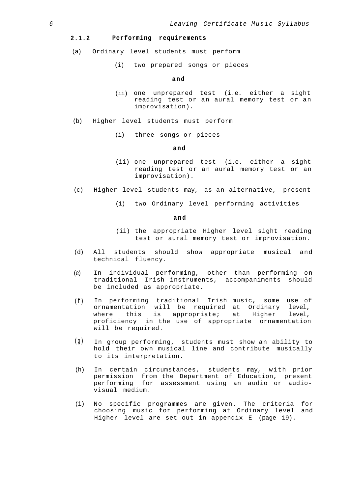# **2.1.2 Performing requirements**

- (a) Ordinary level students must perform
	- (i) two prepared songs or pieces

#### **and**

- (ii) one unprepared test (i.e. either a sight reading test or an aural memory test or an improvisation).
- (b) Higher level students must perform
	- (i) three songs or pieces

#### **and**

- (ii) one unprepared test (i.e. either a sight reading test or an aural memory test or an improvisation).
- (c) Higher level students may, as an alternative, present
	- (i) two Ordinary level performing activities

#### **and**

- (ii) the appropriate Higher level sight reading test or aural memory test or improvisation.
- (d) All students should show appropriate musical and technical fluency.
- (e) In individual performing, other than performing on traditional Irish instruments, accompaniments should be included as appropriate.
- (f) In performing traditional Irish music, some use of ornamentation will be required at Ordinary level, where this is appropriate; at Higher level, proficiency in the use of appropriate ornamentation will be required.
- (g) In group performing, students must show an ability to hold their own musical line and contribute musically to its interpretation.
- (h) In certain circumstances, students may, with prior permission from the Department of Education, present performing for assessment using an audio or audiovisual medium.
- (i) No specific programmes are given. The criteria for choosing music for performing at Ordinary level and Higher level are set out in appendix E (page 19).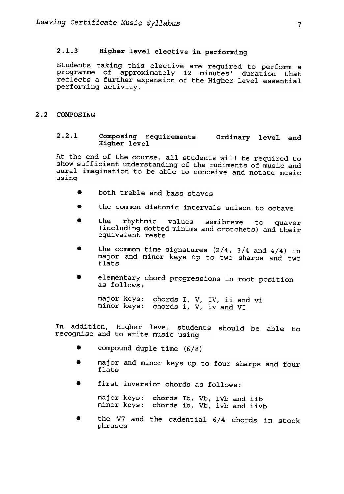# 2.1.3 Higher level elective in performing

Students taking this elective are required to perform a programme of approximately 12 minutes' duration that reflects a further expansion of the Higher level essential performing activity.

# 2.2 COMPOSING

# 2.2.1 Composing requirements Ordinary level and Higher level

At the end of the course, all students will be required to show sufficient understanding of the rudiments of music and aural imagination to be able to conceive and notate music using

- . both treble and bass staves
- . the common diatonic intervals unison to octave
- . the rhythmic values semibreve to quaver (including dotted minims and crotchets) and their equivalent rests
- the common time signatures  $(2/4, 3/4$  and  $4/4)$  in major and minor keys up to two sharps and two flats
- . elementary chord progressions in root position as follows:

major keys: minor keys: chords I, V, IV, ii and vi chords i, V, iv and V

In addition, Higher level students should be able to recognise and to write music using

- compound duple time  $(6/8)$
- . major and minor keys up to four sharps and four flats
- . first inversion chords as follows:

major keys: minor keys: chords Ib, Vb, chords ib, Vb, IVb and i: ivb and ii

. the V7 and the cadential 6/4 chords in stockphrases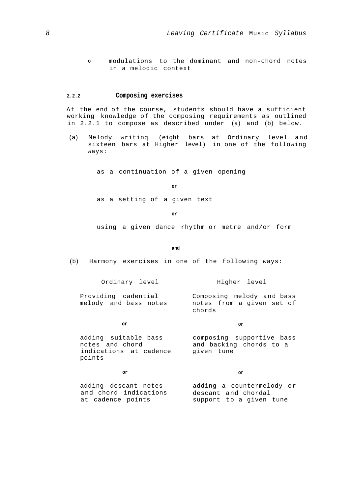**o** modulations to the dominant and non-chord notes in a melodic context

# **2.2.2 Composing exercises**

At the end of the course, students should have a sufficient working knowledge of the composing requirements as outlined in 2.2.1 to compose as described under (a) and (b) below.

(a) Melody writinq (eight bars at Ordinary level and sixteen bars at Higher level) in one of the following ways:

as a continuation of a given opening

```
or
```
as a setting of a given text

**or**

using a given dance rhythm or metre and/or form

**and**

(b) Harmony exercises in one of the following ways:

Ordinary level

Higher level

Providing cadential melody and bass notes Composing melody and bass notes from a given set of chords

#### **or**

notes and chord indications at cadence given tune points

**or**

adding suitable bass composing supportive bass and backing chords to a

**or**

#### **or**

adding descant notes and chord indications at cadence points adding a countermelody or descant and chordal support to a given tune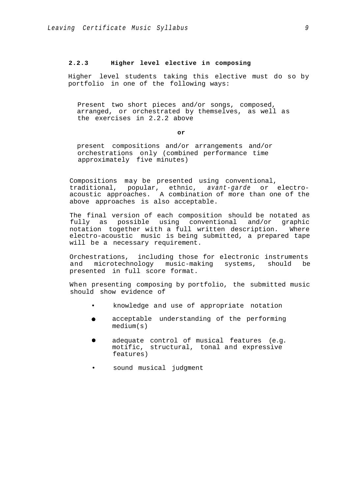# **2.2.3 Higher level elective in composing**

Higher level students taking this elective must do so by portfolio in one of the following ways:

Present two short pieces and/or songs, composed, arranged, or orchestrated by themselves, as well as the exercises in 2.2.2 above

#### **or**

present compositions and/or arrangements and/or orchestrations only (combined performance time approximately five minutes)

Compositions may be presented using conventional, traditional, popular, ethnic, *avant-garde* or electroacoustic approaches. A combination of more than one of the above approaches is also acceptable.

The final version of each composition should be notated as fully as possible using conventional and/or graphic notation together with a full written description. Where electro-acoustic music is being submitted, a prepared tape will be a necessary requirement.

Orchestrations, including those for electronic instruments and microtechnology music-making systems, should be presented in full score format.

When presenting composing by portfolio, the submitted music should show evidence of

- knowledge and use of appropriate notation
- acceptable understanding of the performing  $\bullet$ medium(s)
- adequate control of musical features (e.g.  $\bullet$ motific, structural, tonal and expressive features)
- sound musical judgment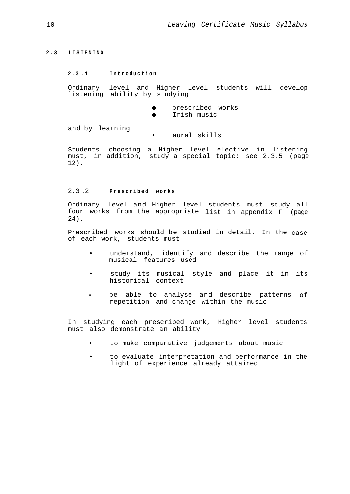# **2.3 LISTENING**

# **2.3 .1 Introduction**

Ordinary level and Higher level students will develop listening ability by studying

- $\bullet$ prescribed works
- $\bullet$ Irish music

and by learning

• aural skills

Students choosing a Higher level elective in listening must, in addition, study a special topic: see 2.3.5 (page 12).

# 2.3 .2 **Prescribed works**

Ordinary level and Higher level students must study all four works from the appropriate list in appendix F (page 24).

Prescribed works should be studied in detail. In the case of each work, students must

- understand, identify and describe the range of musical features used
- study its musical style and place it in its historical context
- **•** be able to analyse and describe patterns of repetition and change within the music

In studying each prescribed work, Higher level students must also demonstrate an ability

- to make comparative judgements about music
- to evaluate interpretation and performance in the light of experience already attained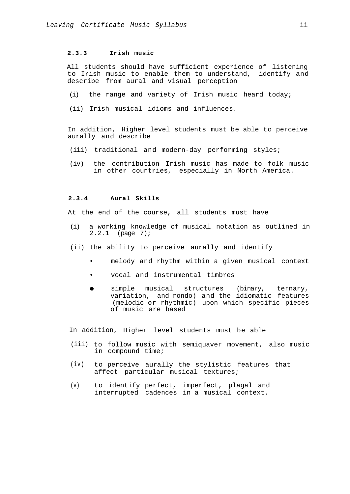# **2.3.3 Irish music**

All students should have sufficient experience of listening to Irish music to enable them to understand, identify and describe from aural and visual perception

- (i) the range and variety of Irish music heard today;
- (ii) Irish musical idioms and influences.

In addition, Higher level students must be able to perceive aurally and describe

- (iii) traditional and modern-day performing styles;
- (iv) the contribution Irish music has made to folk music in other countries, especially in North America.

# **2.3.4 Aural Skills**

At the end of the course, all students must have

- (i) a working knowledge of musical notation as outlined in 2.2.1 (page 7);
- (ii) the ability to perceive aurally and identify
	- melody and rhythm within a given musical context
	- vocal and instrumental timbres
	- simple musical structures (binary, ternary,  $\bullet$ variation, and rondo) and the idiomatic features (melodic or rhythmic) upon which specific pieces of music are based

In addition, Higher level students must be able

- (iii) to follow music with semiquaver movement, also music in compound time;
- (iv) to perceive aurally the stylistic features that affect particular musical textures;
- (v) to identify perfect, imperfect, plagal and interrupted cadences in a musical context.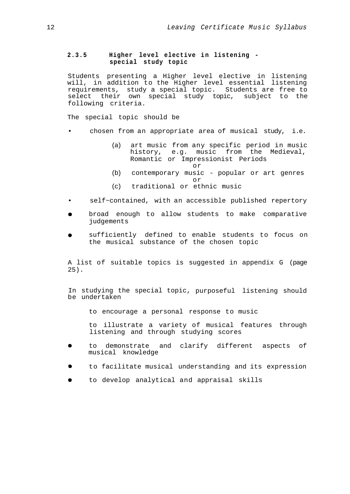# **2.3.5 Higher level elective i n listening special study topic**

Students presenting a Higher level elective in listening will, in addition to the Higher level essential listening requirements, study a special topic. Students are free to select their own special study topic, subject to the following criteria.

The special topic should be

- chosen from an appropriate area of musical study, i.e.
	- (a) art music from any specific period in music history, e.g. music from the Medieval, Romantic or Impressionist Periods
		- or

or

- (b) contemporary music popular or art genres
- (c) traditional or ethnic music
- self~contained, with an accessible published repertory
- broad enough to allow students to make comparative judgements
- sufficiently defined to enable students to focus on the musical substance of the chosen topic

A list of suitable topics is suggested in appendix G (page 25).

In studying the special topic, purposeful listening should be undertaken

to encourage a personal response to music

to illustrate a variety of musical features through listening and through studying scores

- to demonstrate and clarify different aspects of  $\bullet$ musical knowledge
- to facilitate musical understanding and its expression
- $\bullet$ to develop analytical and appraisal skills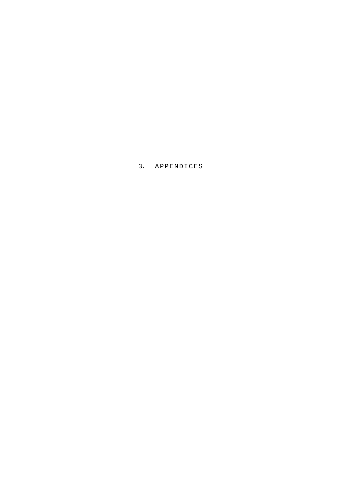3. APPENDICES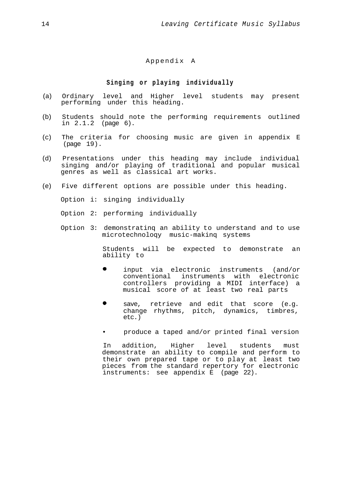# Appendix A

# **Singing o r playing individually**

- (a) Ordinary level and Higher level students may present performing under this heading.
- (b) Students should note the performing requirements outlined in 2.1.2 (page 6).
- (c) The criteria for choosing music are given in appendix E (page 19).
- (d) Presentations under this heading may include individual singing and/or playing of traditional and popular musical genres as well as classical art works.
- (e) Five different options are possible under this heading.

Option i: singing individually

Option 2: performing individually

Option 3: demonstratinq an ability to understand and to use microtechnoloqy music-makinq systems

> Students will be expected to demonstrate an ability to

- $\bullet$ input via electronic instruments (and/or conventional instruments with electronic controllers providing a MIDI interface) a musical score of at least two real parts
- save, retrieve and edit that score (e.g. change rhythms, pitch, dynamics, timbres, etc.)
- produce a taped and/or printed final version

In addition, Higher level students must demonstrate an ability to compile and perform to their own prepared tape or to play at least two pieces from the standard repertory for electronic instruments: see appendix E (page 22).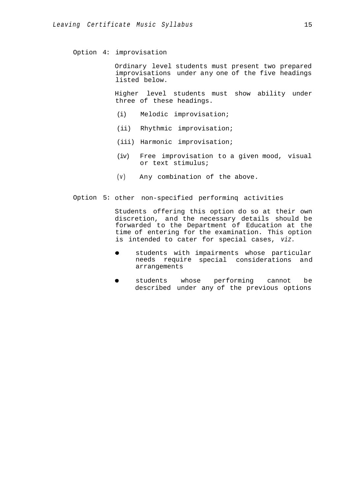Option 4: improvisation

Ordinary level students must present two prepared improvisations under any one of the five headings listed below.

Higher level students must show ability under three of these headings.

- (i) Melodic improvisation;
- (ii) Rhythmic improvisation;
- (iii) Harmonic improvisation;
- (iv) Free improvisation to a given mood, visual or text stimulus;
- (v) Any combination of the above.
- Option 5: other non-specified performinq activities

Students offering this option do so at their own discretion, and the necessary details should be forwarded to the Department of Education at the time of entering for the examination. This option is intended to cater for special cases, *viz.*

- $\bullet$ students with impairments whose particular needs require special considerations and arrangements
- students whose performing cannot be  $\bullet$ described under any of the previous options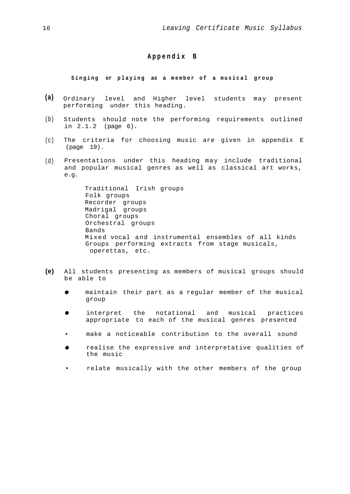# **Appendix B**

# **Singing or playing as a member o f a musical group**

- **(a)** Ordinary level and Higher level students may present performing under this heading.
- (b) Students should note the performing requirements outlined in 2.1.2 (page 6).
- $(c)$ The criteria for choosing music are given in appendix E (page 19).
- (d) Presentations under this heading may include traditional and popular musical genres as well as classical art works, e.g.

Traditional Irish groups Folk groups Recorder groups Madrigal groups Choral groups Orchestral groups Bands Mixed vocal and instrumental ensembles of all kinds Groups performing extracts from stage musicals, operettas, etc.

- **(e)** All students presenting as members of musical groups should be able to
	- maintain their part as a regular member of the musical group
	- $\bullet$ interpret the notational and musical practices appropriate to each of the musical genres presented
	- make a noticeable contribution to the overall sound
	- realise the expressive and interpretative qualities of the music
	- relate musically with the other members of the group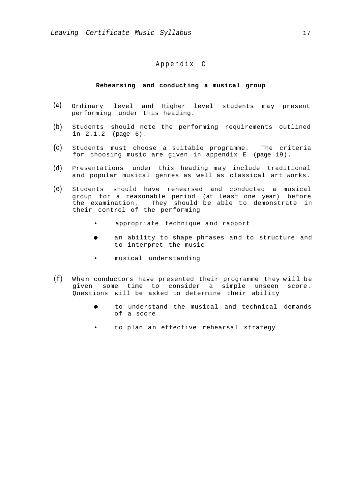# Appendix C

#### **Rehearsing and conducting a musical group**

- **(a)** Ordinary level and Higher level students may present performing under this heading.
- $(b)$ Students should note the performing requirements outlined in 2.1.2 (page 6).
- ${c}$ Students must choose a suitable programme. The criteria for choosing music are given in appendix E (page 19).
- (d) Presentations under this heading may include traditional and popular musical genres as well as classical art works.
- (e) Students should have rehearsed and conducted a musical group for a reasonable period (at least one year) before the examination. They should be able to demonstrate in their control of the performing
	- appropriate technique and rapport
	- $\bullet$ an ability to shape phrases and to structure and to interpret the music
	- musical understanding
- (f) When conductors have presented their programme they will be given some time to consider a simple unseen score. Questions will be asked to determine their ability
	- to understand the musical and technical demands of a score
	- to plan an effective rehearsal strategy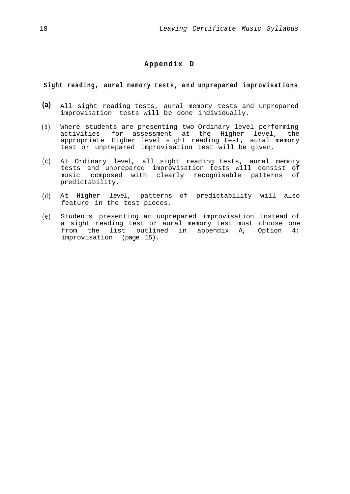# **Appendix D**

# **Sight reading, aural memory tests, and unprepared improvisations**

- **(a)** All sight reading tests, aural memory tests and unprepared improvisation tests will be done individually.
- $(b)$ Where students are presenting two Ordinary level performing activities for assessment at the Higher level, the appropriate Higher level sight reading test, aural memory test or unprepared improvisation test will be given.
- (c) At Ordinary level, all sight reading tests, aural memory tests and unprepared improvisation tests will consist of music composed with clearly recognisable patterns of predictability.
- (d) At Higher level, patterns of predictability will also feature in the test pieces.
- (e) Students presenting an unprepared improvisation instead of a sight reading test or aural memory test must choose one from the list outlined in appendix A, Option 4: improvisation (page 15).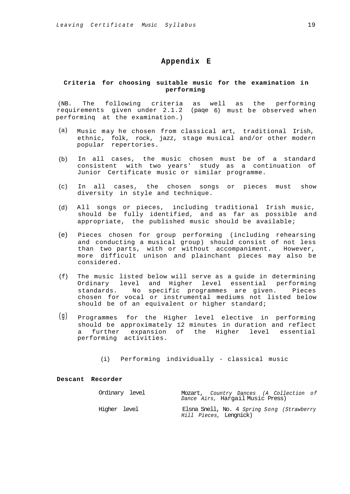# **Appendix E**

# **Criteria for choosing suitable music for the examination in performing**

(NB. The following criteria as well as the performing requirements given under 2.1.2 (paqe 6) must be observed when performinq at the examination.)

- (a) Music may he chosen from classical art, traditional Irish, ethnic, folk, rock, jazz, stage musical and/or other modern popular repertories.
- (b) In all cases, the music chosen must be of a standard consistent with two years' study as a continuation of Junior Certificate music or similar programme.
- (c) In all cases, the chosen songs or pieces must show diversity in style and technique.
- (d) All songs or pieces, including traditional Irish music, should be fully identified, and as far as possible and appropriate, the published music should be available;
- (e) Pieces chosen for group performing (including rehearsing and conducting a musical group) should consist of not less than two parts, with or without accompaniment. However, more difficult unison and plainchant pieces may also be considered.
- (f) The music listed below will serve as a guide in determining Ordinary level and Higher level essential performing standards. No specific programmes are given. Pieces chosen for vocal or instrumental mediums not listed below should be of an equivalent or higher standard;
- (g) Programmes for the Higher level elective in performing should be approximately 12 minutes in duration and reflect a further expansion of the Higher level essential performing activities.

(i) Performing individually - classical music

#### **Descant Recorder**

| Ordinary level |  |                        | Dance Airs, Hargail Music Press) | Mozart, Country Dances (A Collection of    |  |
|----------------|--|------------------------|----------------------------------|--------------------------------------------|--|
| Higher level   |  | Hill Pieces, Lengnick) |                                  | Elsna Snell, No. 4 Spring Song (Strawberry |  |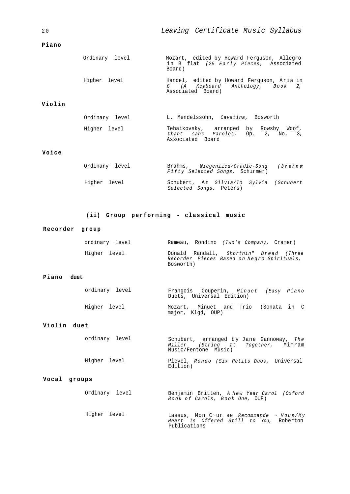# **Piano**

2 0

| Ordinary level | Mozart, edited by Howard Ferguson, Allegro<br>in B flat (25 Early Pieces, Associated<br>Board)      |
|----------------|-----------------------------------------------------------------------------------------------------|
| Higher level   | Handel, edited by Howard Ferguson, Aria in<br>G (A Keyboard Anthology, Book 2,<br>Associated Board) |

# **Violin**

| Ordinary level | L. Mendelssohn, Cavatina, Bosworth |                                                                            |
|----------------|------------------------------------|----------------------------------------------------------------------------|
| Higher level   | Associated Board                   | Tehaikovsky, arranged by Rowsby Woof,<br>Chant sans Paroles, Op. 2, No. 3, |

# **Voice**

| Ordinarv level | Brahms, Wiegenlied/Cradle-Song<br>Fifty Selected Songs, Schirmer)  | (Brahms: |
|----------------|--------------------------------------------------------------------|----------|
| Higher level   | Schubert, An Silvia/To Sylvia (Schubert<br>Selected Songs, Peters) |          |

# **(ii) Group performing - classical music**

# **Recorder group**

| ordinarv level |           |  | Rameau, Rondino (Two's Company, Cramer) |                                                                                      |
|----------------|-----------|--|-----------------------------------------|--------------------------------------------------------------------------------------|
| Higher level   | Bosworth) |  |                                         | Donald Randall, Shortnin" Bread (Three<br>Recorder Pieces Based on Negro Spirituals, |

### **Piano duet**

| ordinary level | Frangois Couperin, Minuet (Easy Piano<br>Duets, Universal Edition) |  |
|----------------|--------------------------------------------------------------------|--|
| Higher level   | Mozart, Minuet and Trio (Sonata in C<br>major, Klqd, OUP)          |  |

# **Violin duet**

|              | ordinary level | Schubert, arranged by Jane Gannoway, The<br>Miller (String It Together, Mimram<br>Music/Fentone Music) |  |
|--------------|----------------|--------------------------------------------------------------------------------------------------------|--|
| Higher level |                | Pleyel, Rondo (Six Petits Duos, Universal<br>Edition)                                                  |  |

Publications

# **Vocal groups**

Ordinary level Benjamin Britten, *A New Year Carol (Oxford Book o f Carols, Book One,* OUP)

Higher level Lassus, Mon C~ur se *Recommande ~ Vous/My Heart Is Offered Still to You,* Roberton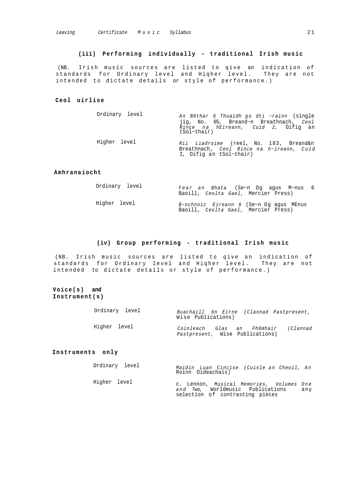### **(iii) Performing individually - traditional Irish music**

(NB. Irish music sources are listed to qive an indication of standards for Ordinary level and Hiqher level. They are not intended to dictate details or style of performance.)

#### **Ceol uirlise**

| Ordinary level | An B6thar 6 Thuaidh go dti ~rainn (single<br>jig, No. 65, Breand~n Breathnach, Ceol<br>Rince na hEireann, Cuid 2, Oifig an<br>$tSol\text{-}thair)$ |
|----------------|----------------------------------------------------------------------------------------------------------------------------------------------------|
| Higher level   | Rii Liadroime (reel, No. 183, Breand&n<br>Breathnach, Ceol Rince na h~ireann, Cuid<br>I, Oifig an tSol~thair)                                      |

#### **Amhranaiocht**

| Ordinary level | Fear an Bhata (Se~n Oq agus M~nus 6<br>Baoill, Ceolta Gael, Mercier Press)                    |  |
|----------------|-----------------------------------------------------------------------------------------------|--|
| Higher level   | $B~\sim$ nchnoic Eireann 6 (Se $~\sim$ n Oq aqus MEnus<br>Baoill, Ceolta Gael, Mercier Press) |  |

#### **(iv) Group performing - traditional Irish music**

(NB. Irish music sources are listed to qive an indication of standards for Ordinary level and Hiqher level. They are not intended to dictate details or style of performance.)

**Voice(s) and Instrument(s)**

| Ordinary level | Wise Publications)              | Buachaill 6n Eirne (Clannad Pastpresent, |
|----------------|---------------------------------|------------------------------------------|
| Higher level   | Pastpresent, Wise Publications) | Coinleach Glas an Fh6mhair (Clannad      |

# **Instruments only**

Ordinary level Higher level *Maidin Luan Cincise (Cuisle a n Cheoil, A n* Roinn Oideachais) c. Lennon, *Musical Memories, Volumes One and Two,* Worldmusic Publications any

selection of contrasting pieces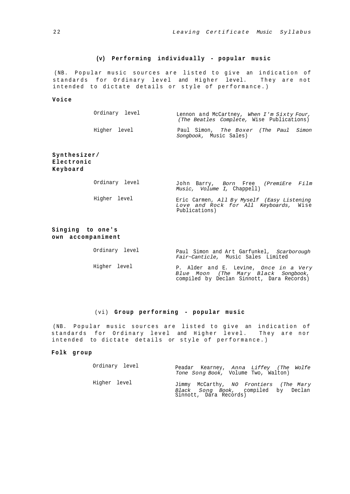# **(v) Performing individually - popular music**

(NB. Popular music sources are listed to give an indication of standards for Ordinary level and Higher level. They are not intended to dictate details or style of performance.)

#### **Voice**

| Ordinary level | Lennon and McCartney, When I'm Sixty Four,<br>(The Beatles Complete, Wise Publications) |
|----------------|-----------------------------------------------------------------------------------------|
| Higher level   | Paul Simon, The Boxer (The Paul Simon<br>Songbook, Music Sales)                         |

# **Synthesizer/ Electronic Keyboard**

| Ordinary level | John Barry, Born Free (PremiEre Film<br>Music, Volume I, Chappell)                                   |
|----------------|------------------------------------------------------------------------------------------------------|
| Higher level   | Eric Carmen, All By Myself (Easy Listening<br>Love and Rock for All Keyboards, Wise<br>Publications) |

# **Singing to one's own accompaniment**

Ordinary level Paul Simon and Art Garfunkel, *Scarborough Fair~Canticle,* Music Sales Limited

Higher level P. Alder and E. Levine, *Once in a Very Blue Moon (The Mary Black Songbook,* compiled by Declan Sinnott, Dara Records)

### (vi) **Group performing - popular music**

(NB. Popular music sources are listed to give an indication of standards for Ordinary level and Higher level. They are nor intended to dictate details or style of performance.)

#### **Folk group**

| Ordinary level | Peadar Kearney, Anna Liffey (The Wolfe<br>Tone Song Book, Volume Two, Walton)                           |
|----------------|---------------------------------------------------------------------------------------------------------|
| Higher level   | Jimmy McCarthy, NO Frontiers (The Mary<br>Black Song Book, compiled by Declan<br>Sinnott, Dara Records) |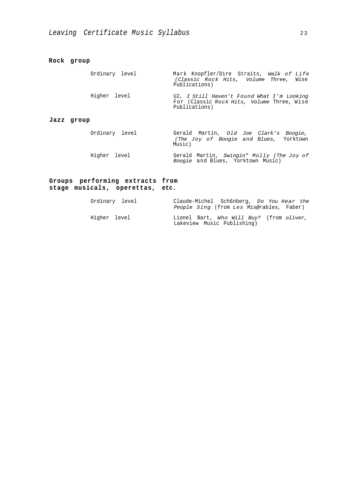**Rock group**

Ordinary level Higher level **Jazz group** Ordinary level Higher level Mark Knopfler/Dire Straits, *Walk of Life (Classic Rock Hits, Volume Three,* Wise Publications) U2, *I Still Haven't Found What I'm Looking* For (Classic *Rock Hits, Volume* Three, Wise Publications) Gerald Martin, *Old Joe Clark's Boogie, (The Joy of Boogie and Blues,* Yorktown Music) Gerald Martin, *Swingin" Molly (The Joy of Boogie* and Blues, Yorktown Music)

# **Groups performing extracts from stage musicals, operettas, etc.**

| Ordinary level | Claude-Michel Sch6nberg, Do You Hear the<br>People Sing (from Les Mis@rables, Faber) |  |
|----------------|--------------------------------------------------------------------------------------|--|
| Higher level   | Lionel Bart, Who Will Buy? (from oliver,<br>Lakeview Music Publishing)               |  |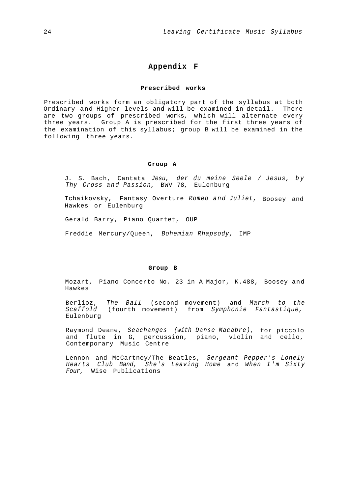# **Appendix F**

### **Prescribed works**

Prescribed works form an obligatory part of the syllabus at both Ordinary and Higher levels and will be examined in detail. There are two groups of prescribed works, which will alternate every three years. Group A is prescribed for the first three years of the examination of this syllabus; group B will be examined in the following three years.

#### **Group A**

J. S. Bach, Cantata *Jesu, der du meine Seele / Jesus, b y Thy Cross and Passion,* BWV 78, Eulenburg

Tchaikovsky, Fantasy Overture *Romeo and Juliet,* Boosey and Hawkes or Eulenburg

Gerald Barry, Piano Quartet, OUP

Freddie Mercury/Queen, *Bohemian Rhapsody,* IMP

#### **Group B**

Mozart, Piano Concerto No. 23 in A Major, K.488, Boosey and Hawkes

Berlioz, *The Ball* (second movement) and *March to the Scaffold* (fourth movement) from *Symphonie Fantastique,* Eulenburg

Raymond Deane, *Seachanges (with Danse Macabre),* for piccolo and flute in G, percussion, piano, violin and cello, Contemporary Music Centre

Lennon and McCartney/The Beatles, *Sergeant Pepper's Lonely Hearts Club Band, She's Leaving Home* and *When I'm Sixty Four,* Wise Publications